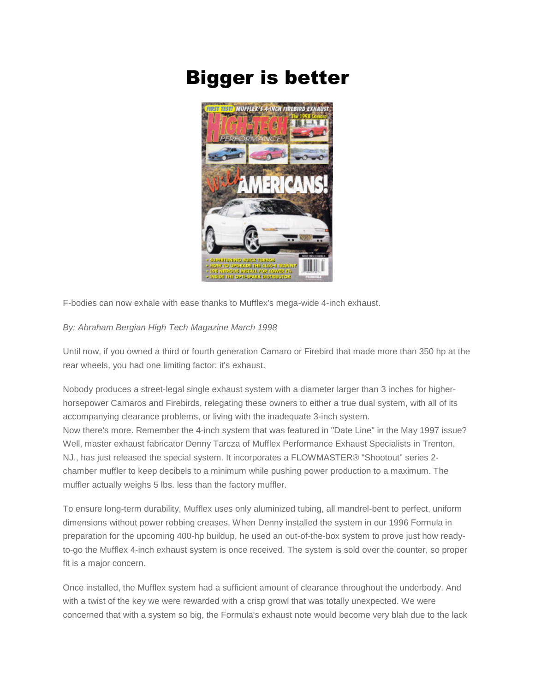## Bigger is better



F-bodies can now exhale with ease thanks to Mufflex's mega-wide 4-inch exhaust.

## *By: Abraham Bergian High Tech Magazine March 1998*

Until now, if you owned a third or fourth generation Camaro or Firebird that made more than 350 hp at the rear wheels, you had one limiting factor: it's exhaust.

Nobody produces a street-legal single exhaust system with a diameter larger than 3 inches for higherhorsepower Camaros and Firebirds, relegating these owners to either a true dual system, with all of its accompanying clearance problems, or living with the inadequate 3-inch system. Now there's more. Remember the 4-inch system that was featured in "Date Line" in the May 1997 issue? Well, master exhaust fabricator Denny Tarcza of Mufflex Performance Exhaust Specialists in Trenton, NJ., has just released the special system. It incorporates a FLOWMASTER® "Shootout" series 2 chamber muffler to keep decibels to a minimum while pushing power production to a maximum. The muffler actually weighs 5 lbs. less than the factory muffler.

To ensure long-term durability, Mufflex uses only aluminized tubing, all mandrel-bent to perfect, uniform dimensions without power robbing creases. When Denny installed the system in our 1996 Formula in preparation for the upcoming 400-hp buildup, he used an out-of-the-box system to prove just how readyto-go the Mufflex 4-inch exhaust system is once received. The system is sold over the counter, so proper fit is a major concern.

Once installed, the Mufflex system had a sufficient amount of clearance throughout the underbody. And with a twist of the key we were rewarded with a crisp growl that was totally unexpected. We were concerned that with a system so big, the Formula's exhaust note would become very blah due to the lack